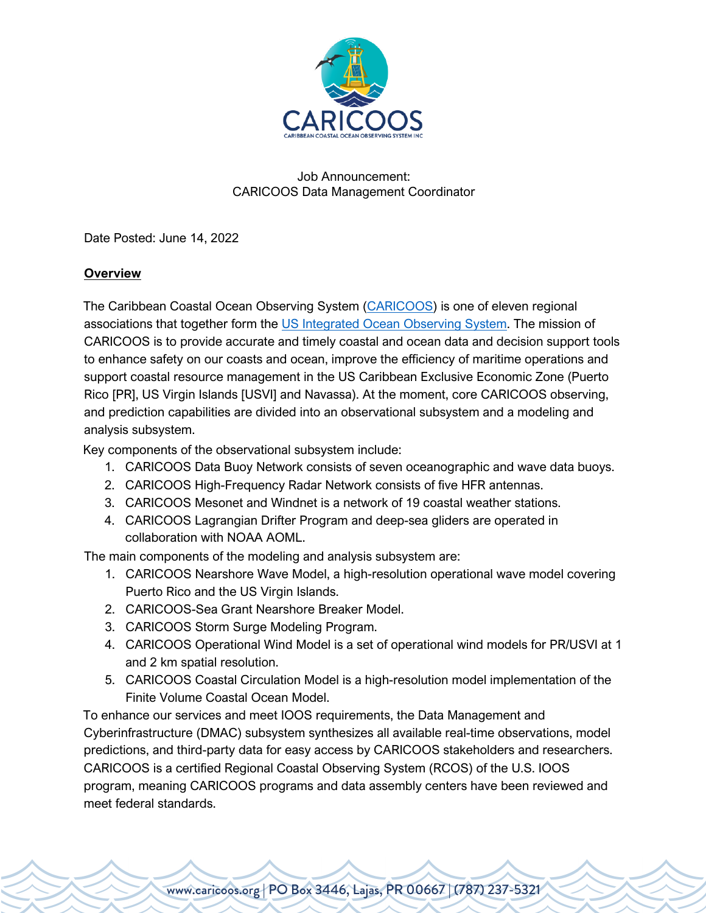

## Job Announcement: CARICOOS Data Management Coordinator

Date Posted: June 14, 2022

# **Overview**

The Caribbean Coastal Ocean Observing System (CARICOOS) is one of eleven regional associations that together form the US Integrated Ocean Observing System. The mission of CARICOOS is to provide accurate and timely coastal and ocean data and decision support tools to enhance safety on our coasts and ocean, improve the efficiency of maritime operations and support coastal resource management in the US Caribbean Exclusive Economic Zone (Puerto Rico [PR], US Virgin Islands [USVI] and Navassa). At the moment, core CARICOOS observing, and prediction capabilities are divided into an observational subsystem and a modeling and analysis subsystem.

Key components of the observational subsystem include:

- 1. CARICOOS Data Buoy Network consists of seven oceanographic and wave data buoys.
- 2. CARICOOS High-Frequency Radar Network consists of five HFR antennas.
- 3. CARICOOS Mesonet and Windnet is a network of 19 coastal weather stations.
- 4. CARICOOS Lagrangian Drifter Program and deep-sea gliders are operated in collaboration with NOAA AOML.

The main components of the modeling and analysis subsystem are:

- 1. CARICOOS Nearshore Wave Model, a high-resolution operational wave model covering Puerto Rico and the US Virgin Islands.
- 2. CARICOOS-Sea Grant Nearshore Breaker Model.
- 3. CARICOOS Storm Surge Modeling Program.
- 4. CARICOOS Operational Wind Model is a set of operational wind models for PR/USVI at 1 and 2 km spatial resolution.
- 5. CARICOOS Coastal Circulation Model is a high-resolution model implementation of the Finite Volume Coastal Ocean Model.

To enhance our services and meet IOOS requirements, the Data Management and Cyberinfrastructure (DMAC) subsystem synthesizes all available real-time observations, model predictions, and third-party data for easy access by CARICOOS stakeholders and researchers. CARICOOS is a certified Regional Coastal Observing System (RCOS) of the U.S. IOOS program, meaning CARICOOS programs and data assembly centers have been reviewed and meet federal standards.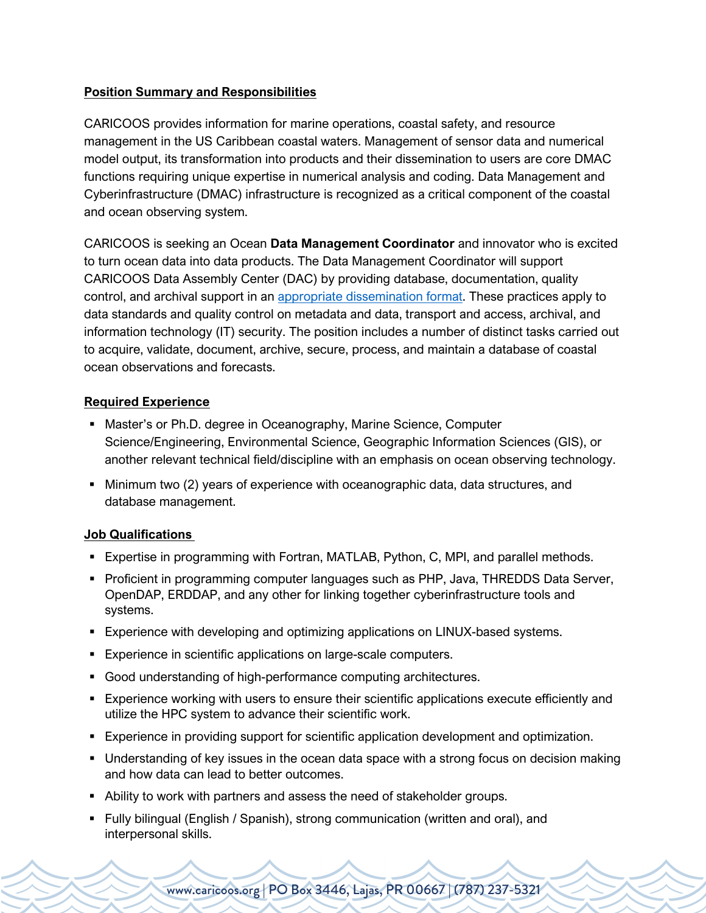## **Position Summary and Responsibilities**

CARICOOS provides information for marine operations, coastal safety, and resource management in the US Caribbean coastal waters. Management of sensor data and numerical model output, its transformation into products and their dissemination to users are core DMAC functions requiring unique expertise in numerical analysis and coding. Data Management and Cyberinfrastructure (DMAC) infrastructure is recognized as a critical component of the coastal and ocean observing system.

CARICOOS is seeking an Ocean **Data Management Coordinator** and innovator who is excited to turn ocean data into data products. The Data Management Coordinator will support CARICOOS Data Assembly Center (DAC) by providing database, documentation, quality control, and archival support in an appropriate dissemination format. These practices apply to data standards and quality control on metadata and data, transport and access, archival, and information technology (IT) security. The position includes a number of distinct tasks carried out to acquire, validate, document, archive, secure, process, and maintain a database of coastal ocean observations and forecasts.

### **Required Experience**

- Master's or Ph.D. degree in Oceanography, Marine Science, Computer Science/Engineering, Environmental Science, Geographic Information Sciences (GIS), or another relevant technical field/discipline with an emphasis on ocean observing technology.
- Minimum two (2) years of experience with oceanographic data, data structures, and database management.

#### **Job Qualifications**

- § Expertise in programming with Fortran, MATLAB, Python, C, MPI, and parallel methods.
- Proficient in programming computer languages such as PHP, Java, THREDDS Data Server, OpenDAP, ERDDAP, and any other for linking together cyberinfrastructure tools and systems.
- **Experience with developing and optimizing applications on LINUX-based systems.**
- Experience in scientific applications on large-scale computers.
- Good understanding of high-performance computing architectures.
- § Experience working with users to ensure their scientific applications execute efficiently and utilize the HPC system to advance their scientific work.
- **Experience in providing support for scientific application development and optimization.**
- Understanding of key issues in the ocean data space with a strong focus on decision making and how data can lead to better outcomes.
- Ability to work with partners and assess the need of stakeholder groups.
- § Fully bilingual (English / Spanish), strong communication (written and oral), and interpersonal skills.

www.caricoos.org | PO Box 3446, Lajas, PR 00667 | (787) 237-5321